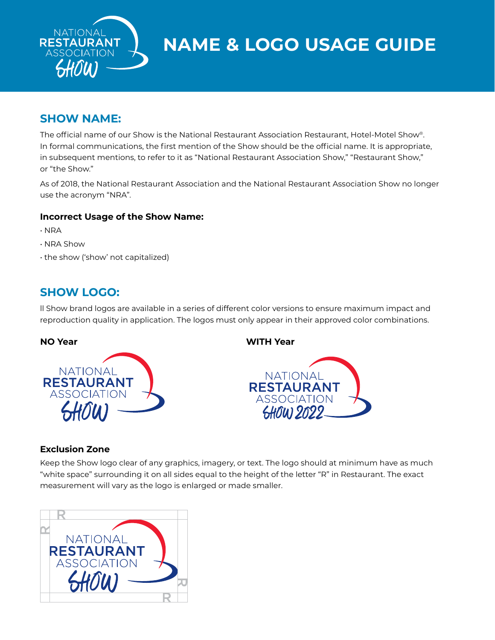

**NAME & LOGO USAGE GUIDE**

# **SHOW NAME:**

The official name of our Show is the National Restaurant Association Restaurant, Hotel-Motel Show®. In formal communications, the first mention of the Show should be the official name. It is appropriate, in subsequent mentions, to refer to it as "National Restaurant Association Show," "Restaurant Show," or "the Show."

As of 2018, the National Restaurant Association and the National Restaurant Association Show no longer use the acronym "NRA".

#### **Incorrect Usage of the Show Name:**

- NRA
- NRA Show
- the show ('show' not capitalized)

## **SHOW LOGO:**

ll Show brand logos are available in a series of different color versions to ensure maximum impact and reproduction quality in application. The logos must only appear in their approved color combinations.



**NO Year WITH Year**



### **Exclusion Zone**

Keep the Show logo clear of any graphics, imagery, or text. The logo should at minimum have as much "white space" surrounding it on all sides equal to the height of the letter "R" in Restaurant. The exact measurement will vary as the logo is enlarged or made smaller.